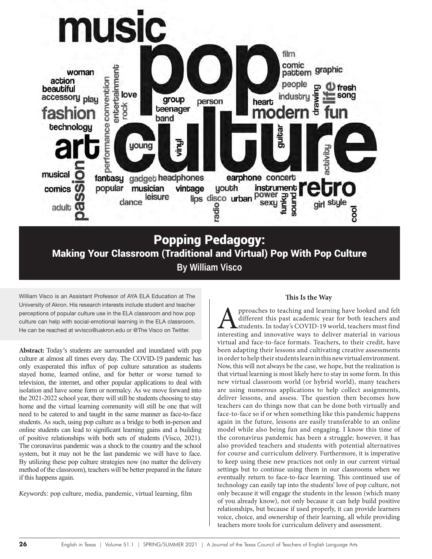

**By William Visco**

William Visco is an Assistant Professor of AYA ELA Education at The University of Akron. His research interests include student and teacher perceptions of popular culture use in the ELA classroom and how pop culture can help with social-emotional learning in the ELA classroom. He can be reached at wvisco@uakron.edu or @The Visco on Twitter.

**Abstract:** Today's students are surrounded and inundated with pop culture at almost all times every day. The COVID-19 pandemic has only exasperated this influx of pop culture saturation as students stayed home, learned online, and for better or worse turned to television, the internet, and other popular applications to deal with isolation and have some form or normalcy. As we move forward into the 2021-2022 school year, there will still be students choosing to stay home and the virtual learning community will still be one that will need to be catered to and taught in the same manner as face-to-face students. As such, using pop culture as a bridge to both in-person and online students can lead to significant learning gains and a building of positive relationships with both sets of students (Visco, 2021). The coronavirus pandemic was a shock to the country and the school system, but it may not be the last pandemic we will have to face. By utilizing these pop culture strategies now (no matter the delivery method of the classroom), teachers will be better prepared in the future if this happens again.

*Keywords:* pop culture, media, pandemic, virtual learning, film

## **This Is the Way**

pproaches to teaching and learning have looked and felt different this past academic year for both teachers and students. In today's COVID-19 world, teachers must find interesting and innovative ways to deliver material in various virtual and face-to-face formats. Teachers, to their credit, have been adapting their lessons and cultivating creative assessments in order to help their students learn in this new virtual environment. Now, this will not always be the case, we hope, but the realization is that virtual learning is most likely here to stay in some form. In this new virtual classroom world (or hybrid world), many teachers are using numerous applications to help collect assignments, deliver lessons, and assess. The question then becomes how teachers can do things now that can be done both virtually and face-to-face so if or when something like this pandemic happens again in the future, lessons are easily transferable to an online model while also being fun and engaging. I know this time of the coronavirus pandemic has been a struggle; however, it has also provided teachers and students with potential alternatives for course and curriculum delivery. Furthermore, it is imperative to keep using these new practices not only in our current virtual settings but to continue using them in our classrooms when we eventually return to face-to-face learning. This continued use of technology can easily tap into the students' love of pop culture, not only because it will engage the students in the lesson (which many of you already know), not only because it can help build positive relationships, but because if used properly, it can provide learners voice, choice, and ownership of their learning, all while providing teachers more tools for curriculum delivery and assessment.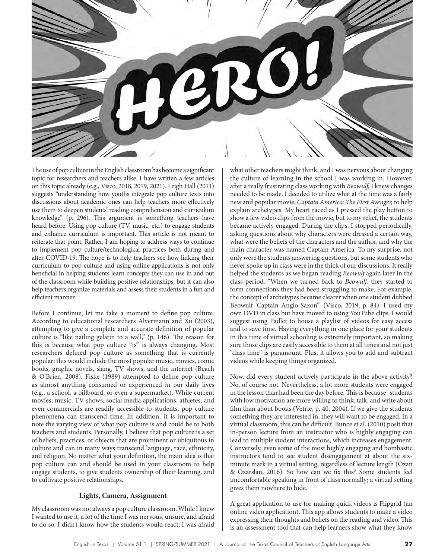

The use of pop culture in the English classroom has become a significant topic for researchers and teachers alike. I have written a few articles on this topic already (e.g., Visco, 2018, 2019, 2021). Leigh Hall (2011) suggests "understanding how youths integrate pop culture texts into discussions about academic ones can help teachers more effectively use them to deepen students' reading comprehension and curriculum knowledge" (p. 296). This argument is something teachers have heard before: Using pop culture (TV, music, etc.) to engage students and enhance curriculum is important. This article is not meant to reiterate that point. Rather, I am hoping to address ways to continue to implement pop culture/technological practices both during and after COVID-19. The hope is to help teachers see how linking their curriculum to pop culture and using online applications is not only beneficial in helping students learn concepts they can use in and out of the classroom while building positive relationships, but it can also help teachers organize materials and assess their students in a fun and efficient manner.

Before I continue, let me take a moment to define pop culture. According to educational researchers Alvermann and Xu (2003), attempting to give a complete and accurate definition of popular culture is "like nailing gelatin to a wall," (p. 146). The reason for this is because what pop culture "is" is always changing. Most researchers defined pop culture as something that is currently popular: this would include the most popular music, movies, comic books, graphic novels, slang, TV shows, and the internet (Beach & O'Brien, 2008). Fiske (1989) attempted to define pop culture as almost anything consumed or experienced in our daily lives (e.g., a school, a billboard, or even a supermarket). While current movies, music, TV shows, social media applications, athletes, and even commercials are readily accessible to students, pop culture phenomena can transcend time. In addition, it is important to note the varying view of what pop culture is and could be to both teachers and students. Personally, I believe that pop culture is a set of beliefs, practices, or objects that are prominent or ubiquitous in culture and can in many ways transcend language, race, ethnicity, and religion. No matter what your definition, the main idea is that pop culture can and should be used in your classroom to help engage students, to give students ownership of their learning, and to cultivate positive relationships.

## **Lights, Camera, Assignment**

My classroom was not always a pop culture classroom. While I knew I wanted to use it, a lot of the time I was nervous, unsure, and afraid to do so. I didn't know how the students would react; I was afraid

what other teachers might think, and I was nervous about changing the culture of learning in the school I was working in. However, after a really frustrating class working with *Beowulf,* I knew changes needed to be made. I decided to utilize what at the time was a fairly new and popular movie, *Captain America: The First Avenger,* to help explain archetypes*.* My heart raced as I pressed the play button to show a few video clips from the movie, but to my relief, the students became actively engaged. During the clips, I stopped periodically, asking questions about why characters were dressed a certain way, what were the beliefs of the characters and the author, and why the main character was named Captain America. To my surprise, not only were the students answering questions, but some students who never spoke up in class were in the thick of our discussions. It really helped the students as we began reading *Beowulf* again later in the class period. "When we turned back to *Beowulf*, they started to form connections they had been struggling to make. For example, the concept of archetypes became clearer when one student dubbed Beowulf 'Captain Anglo-Saxon'" (Visco, 2019, p. 84). I used my own DVD in class but have moved to using YouTube clips. I would suggest using Padlet to house a playlist of videos for easy access and to save time. Having everything in one place for your students in this time of virtual schooling is extremely important, so making sure those clips are easily accessible to them at all times and not just "class time" is paramount. Plus, it allows you to add and subtract videos while keeping things organized.

Now, did every student actively participate in the above activity? No, of course not. Nevertheless, a lot more students were engaged in the lesson than had been the day before. This is because "students with low motivation are more willing to think, talk, and write about film than about books (Vetrie, p. 40, 2004). If we give the students something they are interested in, they will want to be engaged. In a virtual classroom, this can be difficult. Bunce et al. (2010) posit that in-person lecture from an instructor who is highly engaging can lead to multiple student interactions, which increases engagement. Conversely, even some of the most highly engaging and bombastic instructors tend to see student disengagement at about the sixminute mark in a virtual setting, regardless of lecture length (Ozan & Ozarslan, 2016). So how can we fix this? Some students feel uncomfortable speaking in front of class normally; a virtual setting gives them nowhere to hide.

A great application to use for making quick videos is Flipgrid (an online video application). This app allows students to make a video expressing their thoughts and beliefs on the reading and video. This is an assessment tool that can help learners show what they know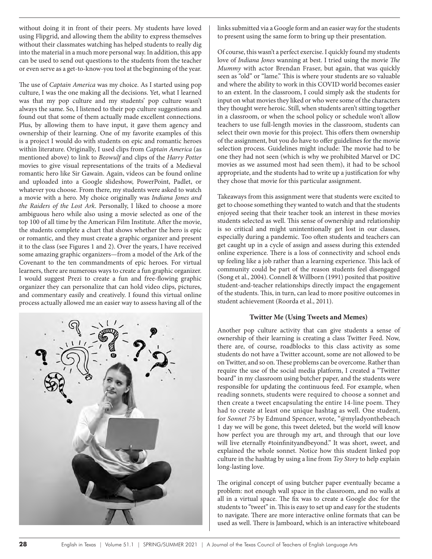without doing it in front of their peers. My students have loved using Flipgrid, and allowing them the ability to express themselves without their classmates watching has helped students to really dig into the material in a much more personal way. In addition, this app can be used to send out questions to the students from the teacher or even serve as a get-to-know-you tool at the beginning of the year.

The use of *Captain America* was my choice. As I started using pop culture, I was the one making all the decisions. Yet, what I learned was that my pop culture and my students' pop culture wasn't always the same. So, I listened to their pop culture suggestions and found out that some of them actually made excellent connections. Plus, by allowing them to have input, it gave them agency and ownership of their learning. One of my favorite examples of this is a project I would do with students on epic and romantic heroes within literature. Originally, I used clips from *Captain America* (as mentioned above) to link to *Beowulf* and clips of the *Harry Potter* movies to give visual representations of the traits of a Medieval romantic hero like Sir Gawain. Again, videos can be found online and uploaded into a Google slideshow, PowerPoint, Padlet, or whatever you choose. From there, my students were asked to watch a movie with a hero. My choice originally was *Indiana Jones and the Raiders of the Lost Ark*. Personally, I liked to choose a more ambiguous hero while also using a movie selected as one of the top 100 of all time by the American Film Institute. After the movie, the students complete a chart that shows whether the hero is epic or romantic, and they must create a graphic organizer and present it to the class (see Figures 1 and 2). Over the years, I have received some amazing graphic organizers—from a model of the Ark of the Covenant to the ten commandments of epic heroes. For virtual learners, there are numerous ways to create a fun graphic organizer. I would suggest Prezi to create a fun and free-flowing graphic organizer they can personalize that can hold video clips, pictures, and commentary easily and creatively. I found this virtual online process actually allowed me an easier way to assess having all of the



links submitted via a Google form and an easier way for the students to present using the same form to bring up their presentation.

Of course, this wasn't a perfect exercise. I quickly found my students love of *Indiana Jones* wanning at best. I tried using the movie *The Mummy* with actor Brendan Fraser, but again, that was quickly seen as "old" or "lame." This is where your students are so valuable and where the ability to work in this COVID world becomes easier to an extent. In the classroom, I could simply ask the students for input on what movies they liked or who were some of the characters they thought were heroic. Still, when students aren't sitting together in a classroom, or when the school policy or schedule won't allow teachers to use full-length movies in the classroom, students can select their own movie for this project. This offers them ownership of the assignment, but you do have to offer guidelines for the movie selection process. Guidelines might include: The movie had to be one they had not seen (which is why we prohibited Marvel or DC movies as we assumed most had seen them), it had to be school appropriate, and the students had to write up a justification for why they chose that movie for this particular assignment.

Takeaways from this assignment were that students were excited to get to choose something they wanted to watch and that the students enjoyed seeing that their teacher took an interest in these movies students selected as well. This sense of ownership and relationship is so critical and might unintentionally get lost in our classes, especially during a pandemic. Too often students and teachers can get caught up in a cycle of assign and assess during this extended online experience. There is a loss of connectivity and school ends up feeling like a job rather than a learning experience. This lack of community could be part of the reason students feel disengaged (Song et al., 2004). Connell & Willborn (1991) posited that positive student-and-teacher relationships directly impact the engagement of the students. This, in turn, can lead to more positive outcomes in student achievement (Roorda et al., 2011).

## **Twitter Me (Using Tweets and Memes)**

Another pop culture activity that can give students a sense of ownership of their learning is creating a class Twitter Feed. Now, there are, of course, roadblocks to this class activity as some students do not have a Twitter account, some are not allowed to be on Twitter, and so on. These problems can be overcome. Rather than require the use of the social media platform, I created a "Twitter board" in my classroom using butcher paper, and the students were responsible for updating the continuous feed. For example, when reading sonnets, students were required to choose a sonnet and then create a tweet encapsulating the entire 14-line poem. They had to create at least one unique hashtag as well. One student, for *Sonnet 75* by Edmund Spencer, wrote, "@myladyonthebeach 1 day we will be gone, this tweet deleted, but the world will know how perfect you are through my art, and through that our love will live eternally #toinfinityandbeyond." It was short, sweet, and explained the whole sonnet. Notice how this student linked pop culture in the hashtag by using a line from *Toy Story* to help explain long-lasting love.

The original concept of using butcher paper eventually became a problem: not enough wall space in the classroom, and no walls at all in a virtual space. The fix was to create a Google doc for the students to "tweet" in. This is easy to set up and easy for the students to navigate. There are more interactive online formats that can be used as well. There is Jamboard, which is an interactive whiteboard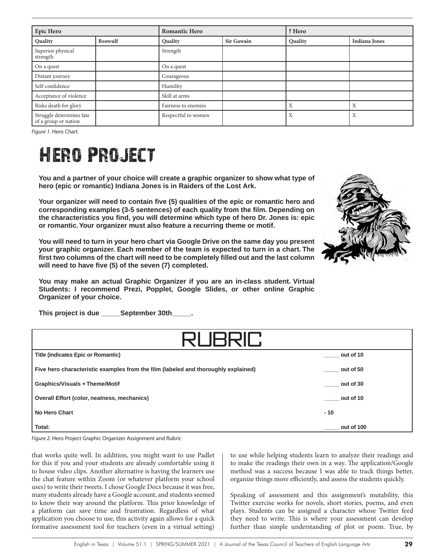| Epic Hero                                        |                | <b>Romantic Hero</b> |                   | ? Hero  |                      |
|--------------------------------------------------|----------------|----------------------|-------------------|---------|----------------------|
| Quality                                          | <b>Beowulf</b> | Quality              | <b>Sir Gawain</b> | Quality | <b>Indiana Jones</b> |
| Superior physical<br>strength                    |                | Strength             |                   |         |                      |
| On a quest                                       |                | On a quest           |                   |         |                      |
| Distant journey                                  |                | Courageous           |                   |         |                      |
| Self-confidence                                  |                | Humility             |                   |         |                      |
| Acceptance of violence                           |                | Skill at arms        |                   |         |                      |
| Risks death for glory                            |                | Fairness to enemies  |                   | Х       | Χ                    |
| Struggle determines fate<br>of a group or nation |                | Respectful to women  |                   | X       | X                    |

*Figure 1.* Hero Chart

# Hero Project

**You and a partner of your choice will create a graphic organizer to show what type of hero (epic or romantic) Indiana Jones is in Raiders of the Lost Ark.** 

**Your organizer will need to contain five (5) qualities of the epic or romantic hero and corresponding examples (3-5 sentences) of each quality from the film. Depending on the characteristics you find, you will determine which type of hero Dr. Jones is: epic or romantic. Your organizer must also feature a recurring theme or motif.**

**You will need to turn in your hero chart via Google Drive on the same day you present your graphic organizer. Each member of the team is expected to turn in a chart. The first two columns of the chart will need to be completely filled out and the last column will need to have five (5) of the seven (7) completed.** 

**You may make an actual Graphic Organizer if you are an in-class student. Virtual Students: I recommend Prezi, Popplet, Google Slides, or other online Graphic Organizer of your choice.**

**This project is due \_\_\_\_\_September 30th\_\_\_\_\_.**

| <b>RUBRIL</b>                                                                      |                  |  |  |  |
|------------------------------------------------------------------------------------|------------------|--|--|--|
| <b>Title (indicates Epic or Romantic)</b>                                          | out of 10        |  |  |  |
| Five hero characteristic examples from the film (labeled and thoroughly explained) | out of 50        |  |  |  |
| Graphics/Visuals + Theme/Motif                                                     | out of 30        |  |  |  |
| <b>Overall Effort (color, neatness, mechanics)</b>                                 | out of 10        |  |  |  |
| No Hero Chart                                                                      | $-10$            |  |  |  |
| Total:                                                                             | _____ out of 100 |  |  |  |

*Figure 2.* Hero Project Graphic Organizer Assignment and Rubric

that works quite well. In addition, you might want to use Padlet for this if you and your students are already comfortable using it to house video clips. Another alternative is having the learners use the chat feature within Zoom (or whatever platform your school uses) to write their tweets. I chose Google Docs because it was free, many students already have a Google account, and students seemed to know their way around the platform. This prior knowledge of a platform can save time and frustration. Regardless of what application you choose to use, this activity again allows for a quick formative assessment tool for teachers (even in a virtual setting)

to use while helping students learn to analyze their readings and to make the readings their own in a way. The application/Google method was a success because I was able to track things better, organize things more efficiently, and assess the students quickly.

Speaking of assessment and this assignment's mutability, this Twitter exercise works for novels, short stories, poems, and even plays. Students can be assigned a character whose Twitter feed they need to write. This is where your assessment can develop further than simple understanding of plot or poem. True, by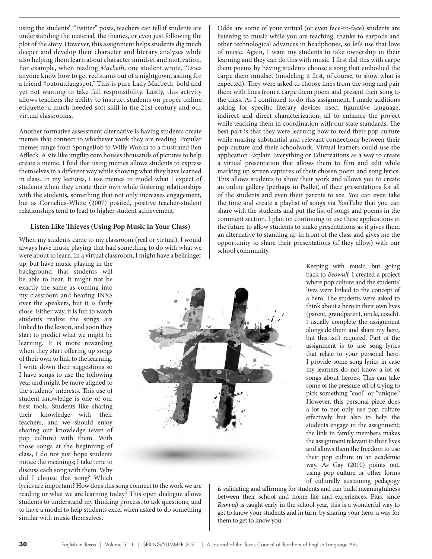using the students' "Twitter" posts, teachers can tell if students are understanding the material, the themes, or even just following the plot of the story. However, this assignment helps students dig much deeper and develop their character and literary analyses while also helping them learn about character mindset and motivation. For example, when reading *Macbeth*, one student wrote, "Does anyone know how to get red stains out of a nightgown, asking for a friend #outoutdangspot." This is pure Lady Macbeth, bold and yet not wanting to take full responsibility. Lastly, this activity allows teachers the ability to instruct students on proper online etiquette, a much-needed soft skill in the 21st century and our virtual classrooms.

Another formative assessment alternative is having students create memes that connect to whichever work they are reading. Popular memes range from SpongeBob to Willy Wonka to a frustrated Ben Affleck. A site like imgflip.com houses thousands of pictures to help create a meme. I find that using memes allows students to express themselves in a different way while showing what they have learned in class. In my lectures, I use memes to model what I expect of students when they create their own while fostering relationships with the students, something that not only increases engagement, but as Cornelius-White (2007) posited, positive teacher-student relationships tend to lead to higher student achievement.

#### **Listen Like Thieves (Using Pop Music in Your Class)**

When my students came to my classroom (real or virtual), I would always have music playing that had something to do with what we were about to learn. In a virtual classroom, I might have a bellringer

up, but have music playing in the background that students will be able to hear. It might not be exactly the same as coming into my classroom and hearing INXS over the speakers, but it is fairly close. Either way, it is fun to watch students realize the songs are linked to the lesson, and soon they start to predict what we might be learning. It is more rewarding when they start offering up songs of their own to link to the learning. I write down their suggestions so I have songs to use the following year and might be more aligned to the students' interests. This use of student knowledge is one of our best tools. Students like sharing their knowledge with their teachers, and we should enjoy sharing our knowledge (even of pop culture) with them. With those songs at the beginning of class, I do not just hope students notice the meanings; I take time to discuss each song with them: Why did I choose that song? Which



lyrics are important? How does this song connect to the work we are reading or what we are learning today? This open dialogue allows students to understand my thinking process, to ask questions, and to have a model to help students excel when asked to do something similar with music themselves.

Odds are some of your virtual (or even face-to-face) students are listening to music while you are teaching, thanks to earpods and other technological advances in headphones, so let's use that love of music. Again, I want my students to take ownership in their learning and they can do this with music. I first did this with carpe diem poems by having students choose a song that embodied the carpe diem mindset (modeling it first, of course, to show what is expected). They were asked to choose lines from the song and pair them with lines from a carpe diem poem and present their song to the class. As I continued to do this assignment, I made additions asking for specific literary devices used, figurative language, indirect and direct characterization, all to enhance the project while teaching them in coordination with our state standards. The best part is that they were learning how to read their pop culture while making substantial and relevant connections between their pop culture and their schoolwork. Virtual learners could use the application Explain Everything or Educreations as a way to create a virtual presentation that allows them to film and edit while marking up screen captures of their chosen poem and song lyrics. This allows students to show their work and allows you to create an online gallery (perhaps in Padlet) of their presentations for all of the students and even their parents to see. You can even take the time and create a playlist of songs via YouTube that you can share with the students and put the list of songs and poems in the comment section. I plan on continuing to use these applications in the future to allow students to make presentations as it gives them an alternative to standing up in front of the class and gives me the opportunity to share their presentations (if they allow) with our school community.

> back to *Beowulf,* I created a project where pop culture and the students' lives were linked to the concept of a hero. The students were asked to think about a hero in their own lives (parent, grandparent, uncle, coach). I usually complete the assignment alongside them and share my hero, but this isn't required. Part of the assignment is to use song lyrics that relate to your personal hero. I provide some song lyrics in case my learners do not know a lot of songs about heroes. This can take some of the pressure off of trying to pick something "cool" or "unique." However, this personal piece does a lot to not only use pop culture effectively but also to help the students engage in the assignment; the link to family members makes the assignment relevant to their lives and allows them the freedom to use their pop culture in an academic way. As Gay (2010) points out, using pop culture or other forms of culturally sustaining pedagogy

Keeping with music, but going

is validating and affirming for students and can build meaningfulness between their school and home life and experiences. Plus, since *Beowulf* is taught early in the school year, this is a wonderful way to get to know your students and in turn, by sharing your hero, a way for them to get to know you.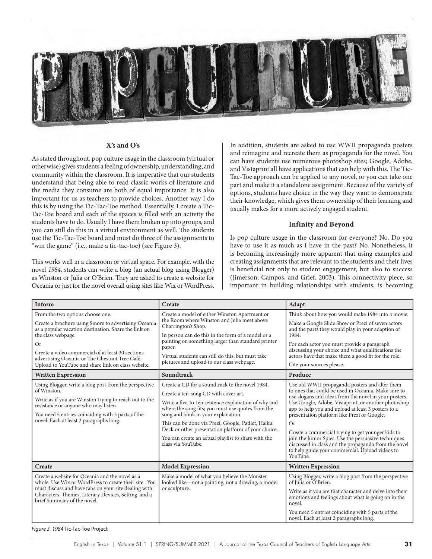

#### **X's and O's**

As stated throughout, pop culture usage in the classroom (virtual or otherwise) gives students a feeling of ownership, understanding, and community within the classroom. It is imperative that our students understand that being able to read classic works of literature and the media they consume are both of equal importance. It is also important for us as teachers to provide choices. Another way I do this is by using the Tic-Tac-Toe method. Essentially, I create a Tic-Tac-Toe board and each of the spaces is filled with an activity the students have to do. Usually I have them broken up into groups, and you can still do this in a virtual environment as well. The students use the Tic-Tac-Toe board and must do three of the assignments to "win the game" (i.e., make a tic-tac-toe) (see Figure 3).

This works well in a classroom or virtual space. For example, with the novel *1984*, students can write a blog (an actual blog using Blogger) as Winston or Julia or O'Brien. They are asked to create a website for Oceania or just for the novel overall using sites like Wix or WordPress.

In addition, students are asked to use WWII propaganda posters and reimagine and recreate them as propaganda for the novel. You can have students use numerous photoshop sites; Google, Adobe, and Vistaprint all have applications that can help with this. The Tic-Tac-Toe approach can be applied to any novel, or you can take one part and make it a standalone assignment. Because of the variety of options, students have choice in the way they want to demonstrate their knowledge, which gives them ownership of their learning and usually makes for a more actively engaged student.

#### **Infinity and Beyond**

Is pop culture usage in the classroom for everyone? No. Do you have to use it as much as I have in the past? No. Nonetheless, it is becoming increasingly more apparent that using examples and creating assignments that are relevant to the students and their lives is beneficial not only to student engagement, but also to success (Jimerson, Campos, and Grief, 2003). This connectivity piece, so important in building relationships with students, is becoming

| Inform                                                                                                                                                                                                                                                                                                                                           | Create                                                                                                                                                                                                                                                                                                                                                                                                                             | Adapt                                                                                                                                                                                                                                                                                                                                                                                                                                                                                                                                                                |
|--------------------------------------------------------------------------------------------------------------------------------------------------------------------------------------------------------------------------------------------------------------------------------------------------------------------------------------------------|------------------------------------------------------------------------------------------------------------------------------------------------------------------------------------------------------------------------------------------------------------------------------------------------------------------------------------------------------------------------------------------------------------------------------------|----------------------------------------------------------------------------------------------------------------------------------------------------------------------------------------------------------------------------------------------------------------------------------------------------------------------------------------------------------------------------------------------------------------------------------------------------------------------------------------------------------------------------------------------------------------------|
| From the two options choose one.<br>Create a brochure using Smore to advertising Oceania<br>as a popular vacation destination. Share the link on<br>the class webpage.<br><b>Or</b><br>Create a video commercial of at least 30 sections<br>advertising Oceania or The Chestnut Tree Café.<br>Upload to YouTube and share link on class website. | Create a model of either Winston Apartment or<br>the Room where Winston and Julia meet above<br>Charrington's Shop.<br>In person can do this in the form of a model or a<br>painting on something larger than standard printer<br>paper.<br>Virtual students can still do this, but must take<br>pictures and upload to our class webpage.                                                                                         | Think about how you would make 1984 into a movie.<br>Make a Google Slide Show or Prezi of seven actors<br>and the parts they would play in your adaption of<br>1984.<br>For each actor you must provide a paragraph<br>discussing your choice and what qualifications the<br>actors have that make them a good fit for the role.<br>Cite your sources please.                                                                                                                                                                                                        |
| <b>Written Expression</b>                                                                                                                                                                                                                                                                                                                        | Soundtrack                                                                                                                                                                                                                                                                                                                                                                                                                         | Produce                                                                                                                                                                                                                                                                                                                                                                                                                                                                                                                                                              |
| Using Blogger, write a blog post from the perspective<br>of Winston.<br>Write as if you are Winston trying to reach out to the<br>resistance or anyone who may listen.<br>You need 5 entries coinciding with 5 parts of the<br>novel. Each at least 2 paragraphs long.                                                                           | Create a CD for a soundtrack to the novel 1984.<br>Create a ten-song CD with cover art.<br>Write a five-to-ten sentence explanation of why and<br>where the song fits; you must use quotes from the<br>song and book in your explanation.<br>This can be done via Prezi, Google, Padlet, Haiku<br>Deck or other presentation platform of your choice.<br>You can create an actual playlist to share with the<br>class via YouTube. | Use old WWII propaganda posters and alter them<br>to ones that could be used in Oceania. Make sure to<br>use slogans and ideas from the novel in your posters.<br>Use Google, Adobe, Vistaprint, or another photoshop<br>app to help you and upload at least 3 posters to a<br>presentation platform like Prezi or Google.<br>Or<br>Create a commercial trying to get younger kids to<br>join the Junior Spies. Use the persuasive techniques<br>discussed in class and the propaganda from the novel<br>to help guide your commercial. Upload videos to<br>YouTube. |
| Create                                                                                                                                                                                                                                                                                                                                           | <b>Model Expression</b>                                                                                                                                                                                                                                                                                                                                                                                                            | <b>Written Expression</b>                                                                                                                                                                                                                                                                                                                                                                                                                                                                                                                                            |
| Create a website for Oceania and the novel as a<br>whole. Use Wix or WordPress to create their site. You<br>must discuss and have tabs on your site dealing with:<br>Characters, Themes, Literary Devices, Setting, and a<br>brief Summary of the novel.                                                                                         | Make a model of what you believe the Monster<br>looked like—not a painting, not a drawing, a model<br>or sculpture.                                                                                                                                                                                                                                                                                                                | Using Blogger, write a blog post from the perspective<br>of Julia or O'Brien.<br>Write as if you are that character and delve into their<br>emotions and feelings about what is going on in the<br>novel.<br>You need 5 entries coinciding with 5 parts of the<br>novel. Each at least 2 paragraphs long.                                                                                                                                                                                                                                                            |

*Figure 3. 1984* Tic-Tac-Toe Project